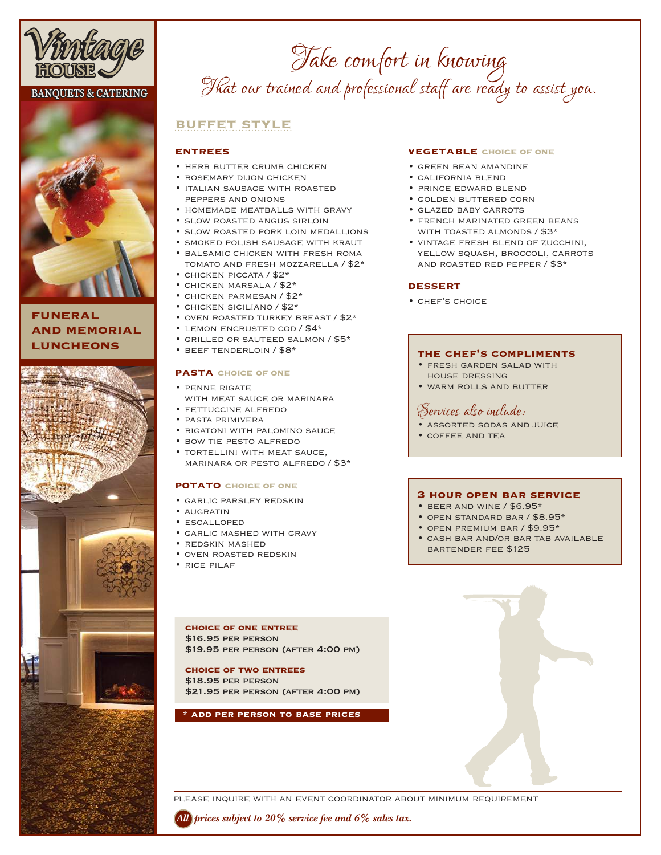

# **BANQUETS & CATERING**



# **funeral and memorial luncheons**



# *Take comfort in knowing That our trained and professional staff are ready to assist you.*

# **buffet style**

## **entrees**

- herb butter crumb chicken
- rosemary dijon chicken
- italian sausage with roasted peppers and onions
- homemade meatballs with gravy • slow roasted angus sirloin
- 
- slow roasted pork loin medallions
- smoked polish sausage with kraut • balsamic chicken with fresh roma tomato and fresh mozzarella / \$2\*
- chicken piccata / \$2\*
- chicken marsala / \$2\*
- chicken parmesan / \$2\*
- chicken siciliano / \$2\*
- oven roasted turkey breast / \$2\*
- lemon encrusted cod / \$4\*
- grilled or sauteed salmon / \$5\*
- beef tenderloin / \$8\*

### **pasta choice of one**

- penne rigate with meat sauce or marinara
- fettuccine alfredo
- pasta primivera
- rigatoni with palomino sauce
- bow tie pesto alfredo
- tortellini with meat sauce, marinara or pesto alfredo / \$3\*

### **potato choice of one**

- garlic parsley redskin
- augratin
- escalloped
- garlic mashed with gravy
- redskin mashed
- oven roasted redskin
- rice pilaf

**choice of one entree** \$16.95 per person \$19.95 per person (after 4:00 pm)

#### **choice of two entrees** \$18.95 per person

\$21.95 per person (after 4:00 pm)

#### **\* add per person to base prices**

# **vegetable choice of one**

- green bean amandine
- california blend
- prince edward blend
- golden buttered corn
- glazed baby carrots
- french marinated green beans with toasted almonds / \$3\*
- vintage fresh blend of zucchini, yellow squash, broccoli, carrots and roasted red pepper / \$3\*

### **dessert**

• chef's choice

## **the chef's compliments**

- fresh garden salad with house dressing
- warm rolls and butter

# *Services also include:*

- assorted sodas and juice
- coffee and tea

### **3 hour open bar service**

- beer and wine / \$6.95\*
- open standard bar / \$8.95\*
- open premium bar / \$9.95\*
- cash bar and/or bar tab available bartender fee \$125

please inquire with an event coordinator about minimum requirement

*All prices subject to 20% service fee and 6% sales tax.*